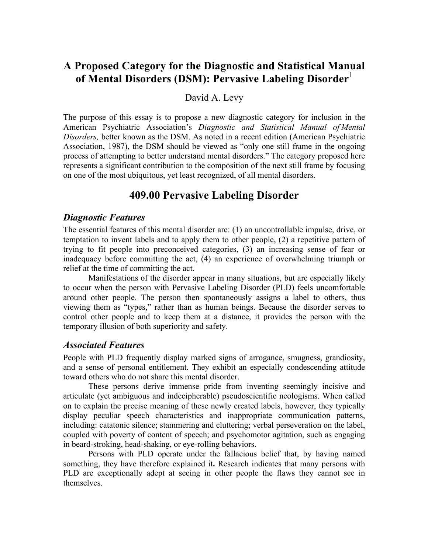# **A Proposed Category for the Diagnostic and Statistical Manual**  of Mental Disorders (DSM): Pervasive Labeling Disorder<sup>1</sup>

### David A. Levy

The purpose of this essay is to propose a new diagnostic category for inclusion in the American Psychiatric Association's Diagnostic and Statistical Manual of Mental *Disorders,* better known as the DSM. As noted in a recent edition (American Psychiatric Association, 1987), the DSM should be viewed as "only one still frame in the ongoing process of attempting to better understand mental disorders." The category proposed here represents a significant contribution to the composition of the next still frame by focusing on one of the most ubiquitous, yet least recognized, of all mental disorders.

## **409.00 Pervasive Labeling Disorder**

#### *Diagnostic Features*

The essential features of this mental disorder are: (1) an uncontrollable impulse, drive, or temptation to invent labels and to apply them to other people, (2) a repetitive pattern of trying to fit people into preconceived categories, (3) an increasing sense of fear or inadequacy before committing the act, (4) an experience of overwhelming triumph or relief at the time of committing the act.

Manifestations of the disorder appear in many situations, but are especially likely to occur when the person with Pervasive Labeling Disorder (PLD) feels uncomfortable around other people. The person then spontaneously assigns a label to others, thus viewing them as "types," rather than as human beings. Because the disorder serves to control other people and to keep them at a distance, it provides the person with the temporary illusion of both superiority and safety.

#### *Associated Features*

People with PLD frequently display marked signs of arrogance, smugness, grandiosity, and a sense of personal entitlement. They exhibit an especially condescending attitude toward others who do not share this mental disorder.

These persons derive immense pride from inventing seemingly incisive and articulate (yet ambiguous and indecipherable) pseudoscientific neologisms. When called on to explain the precise meaning of these newly created labels, however, they typically display peculiar speech characteristics and inappropriate communication patterns, including: catatonic silence; stammering and cluttering; verbal perseveration on the label, coupled with poverty of content of speech; and psychomotor agitation, such as engaging in beard-stroking, head-shaking, or eye-rolling behaviors.

Persons with PLD operate under the fallacious belief that, by having named something, they have therefore explained it**.** Research indicates that many persons with PLD are exceptionally adept at seeing in other people the flaws they cannot see in themselves.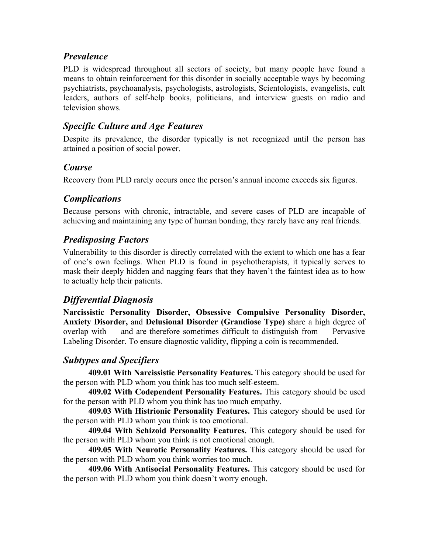### *Prevalence*

PLD is widespread throughout all sectors of society, but many people have found a means to obtain reinforcement for this disorder in socially acceptable ways by becoming psychiatrists, psychoanalysts, psychologists, astrologists, Scientologists, evangelists, cult leaders, authors of self-help books, politicians, and interview guests on radio and television shows.

## *Specific Culture and Age Features*

Despite its prevalence, the disorder typically is not recognized until the person has attained a position of social power.

### *Course*

Recovery from PLD rarely occurs once the person's annual income exceeds six figures.

## *Complications*

Because persons with chronic, intractable, and severe cases of PLD are incapable of achieving and maintaining any type of human bonding, they rarely have any real friends.

### *Predisposing Factors*

Vulnerability to this disorder is directly correlated with the extent to which one has a fear of one's own feelings. When PLD is found in psychotherapists, it typically serves to mask their deeply hidden and nagging fears that they haven't the faintest idea as to how to actually help their patients.

### *Differential Diagnosis*

**Narcissistic Personality Disorder, Obsessive Compulsive Personality Disorder, Anxiety Disorder,** and **Delusional Disorder (Grandiose Type)** share a high degree of overlap with — and are therefore sometimes difficult to distinguish from — Pervasive Labeling Disorder. To ensure diagnostic validity, flipping a coin is recommended.

## *Subtypes and Specifiers*

**409.01 With Narcissistic Personality Features.** This category should be used for the person with PLD whom you think has too much self-esteem.

**409.02 With Codependent Personality Features.** This category should be used for the person with PLD whom you think has too much empathy.

**409.03 With Histrionic Personality Features.** This category should be used for the person with PLD whom you think is too emotional.

**409.04 With Schizoid Personality Features.** This category should be used for the person with PLD whom you think is not emotional enough.

**409.05 With Neurotic Personality Features.** This category should be used for the person with PLD whom you think worries too much.

**409.06 With Antisocial Personality Features.** This category should be used for the person with PLD whom you think doesn't worry enough.